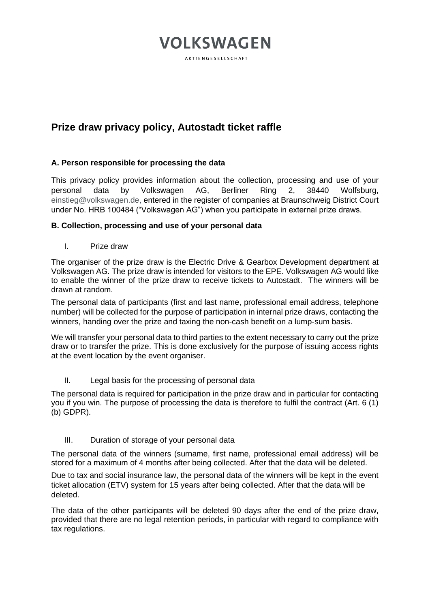## **VOLKSWAGEN**

AKTIENGESELLSCHAFT

## **Prize draw privacy policy, Autostadt ticket raffle**

### **A. Person responsible for processing the data**

This privacy policy provides information about the collection, processing and use of your personal data by Volkswagen AG, Berliner Ring 2, 38440 Wolfsburg, [einstieg@volkswagen.de,](mailto:einstieg@volkswagen.de) entered in the register of companies at Braunschweig District Court under No. HRB 100484 ("Volkswagen AG") when you participate in external prize draws.

### **B. Collection, processing and use of your personal data**

I. Prize draw

The organiser of the prize draw is the Electric Drive & Gearbox Development department at Volkswagen AG. The prize draw is intended for visitors to the EPE. Volkswagen AG would like to enable the winner of the prize draw to receive tickets to Autostadt. The winners will be drawn at random.

The personal data of participants (first and last name, professional email address, telephone number) will be collected for the purpose of participation in internal prize draws, contacting the winners, handing over the prize and taxing the non-cash benefit on a lump-sum basis.

We will transfer your personal data to third parties to the extent necessary to carry out the prize draw or to transfer the prize. This is done exclusively for the purpose of issuing access rights at the event location by the event organiser.

### II. Legal basis for the processing of personal data

The personal data is required for participation in the prize draw and in particular for contacting you if you win. The purpose of processing the data is therefore to fulfil the contract (Art. 6 (1) (b) GDPR).

### III. Duration of storage of your personal data

The personal data of the winners (surname, first name, professional email address) will be stored for a maximum of 4 months after being collected. After that the data will be deleted.

Due to tax and social insurance law, the personal data of the winners will be kept in the event ticket allocation (ETV) system for 15 years after being collected. After that the data will be deleted.

The data of the other participants will be deleted 90 days after the end of the prize draw, provided that there are no legal retention periods, in particular with regard to compliance with tax regulations.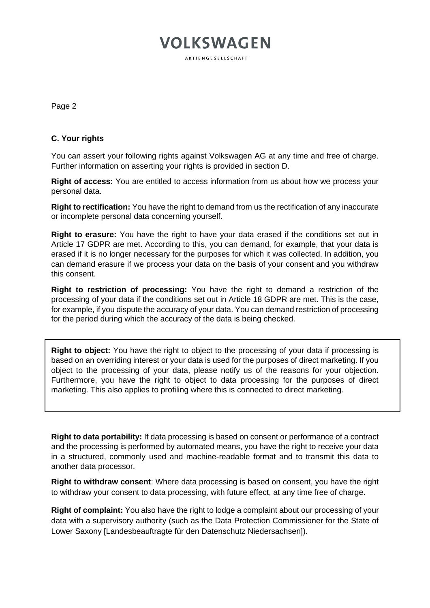# **VOLKSWAGEN**

**AKTIFNGESELLSCHAFT** 

Page 2

### **C. Your rights**

You can assert your following rights against Volkswagen AG at any time and free of charge. Further information on asserting your rights is provided in section D.

**Right of access:** You are entitled to access information from us about how we process your personal data.

**Right to rectification:** You have the right to demand from us the rectification of any inaccurate or incomplete personal data concerning yourself.

**Right to erasure:** You have the right to have your data erased if the conditions set out in Article 17 GDPR are met. According to this, you can demand, for example, that your data is erased if it is no longer necessary for the purposes for which it was collected. In addition, you can demand erasure if we process your data on the basis of your consent and you withdraw this consent.

**Right to restriction of processing:** You have the right to demand a restriction of the processing of your data if the conditions set out in Article 18 GDPR are met. This is the case, for example, if you dispute the accuracy of your data. You can demand restriction of processing for the period during which the accuracy of the data is being checked.

**Right to object:** You have the right to object to the processing of your data if processing is based on an overriding interest or your data is used for the purposes of direct marketing. If you object to the processing of your data, please notify us of the reasons for your objection. Furthermore, you have the right to object to data processing for the purposes of direct marketing. This also applies to profiling where this is connected to direct marketing.

**Right to data portability:** If data processing is based on consent or performance of a contract and the processing is performed by automated means, you have the right to receive your data in a structured, commonly used and machine-readable format and to transmit this data to another data processor.

**Right to withdraw consent**: Where data processing is based on consent, you have the right to withdraw your consent to data processing, with future effect, at any time free of charge.

**Right of complaint:** You also have the right to lodge a complaint about our processing of your data with a supervisory authority (such as the Data Protection Commissioner for the State of Lower Saxony [Landesbeauftragte für den Datenschutz Niedersachsen]).